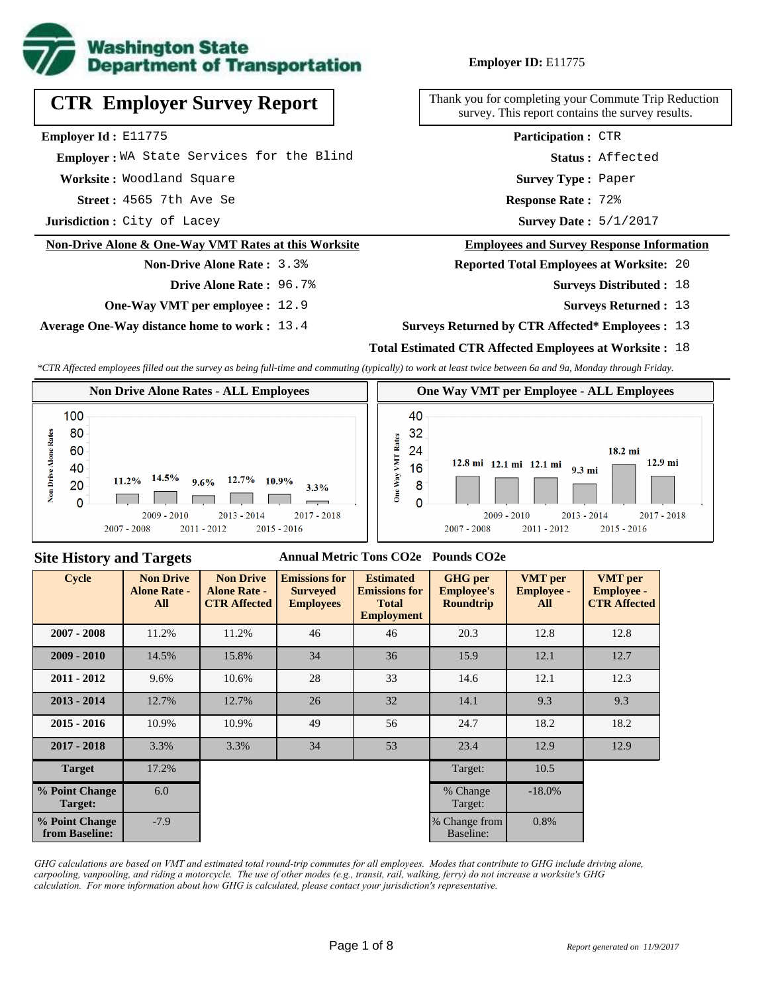

# **CTR Employer Survey Report**

**Employer Id :** E11775

 **Employer :** WA State Services for the Blind

**Worksite :** Woodland Square

**Acception 3565 7th Ave Se 2022 12:33 12:44 Response Rate :** 

**Jurisdiction :** City of Lacey

#### **Non-Drive Alone & One-Way VMT Rates at this Worksite**

**Non-Drive Alone Rate :** 3.3% **Drive Alone Rate :** 96.7%

**One-Way VMT per employee :** 12.9

**Average One-Way distance home to work :** 13.4

#### **Employer ID:** E11775

Thank you for completing your Commute Trip Reduction survey. This report contains the survey results.

> **Status :** Affected **Participation :** CTR

**Survey Type :** Paper

Response Rate: 72%

Survey Date: 5/1/2017

#### **Employees and Survey Response Information**

**Reported Total Employees at Worksite:** 20

- **Surveys Distributed : 18** 
	- **Surveys Returned :** 13

#### **Surveys Returned by CTR Affected\* Employees :** 13

#### **Total Estimated CTR Affected Employees at Worksite :** 18

*\*CTR Affected employees filled out the survey as being full-time and commuting (typically) to work at least twice between 6a and 9a, Monday through Friday.*



#### **Site History and Targets**

#### **Annual Metric Tons CO2e Pounds CO2e**

| <b>Cycle</b>                     | <b>Non Drive</b><br><b>Alone Rate -</b><br>All | <b>Non Drive</b><br><b>Alone Rate -</b><br><b>CTR Affected</b> | <b>Emissions for</b><br><b>Surveyed</b><br><b>Employees</b> | <b>Estimated</b><br><b>Emissions for</b><br><b>Total</b><br><b>Employment</b> | <b>GHG</b> per<br><b>Employee's</b><br><b>Roundtrip</b> | <b>VMT</b> per<br><b>Employee -</b><br>All | <b>VMT</b> per<br><b>Employee -</b><br><b>CTR Affected</b> |
|----------------------------------|------------------------------------------------|----------------------------------------------------------------|-------------------------------------------------------------|-------------------------------------------------------------------------------|---------------------------------------------------------|--------------------------------------------|------------------------------------------------------------|
| $2007 - 2008$                    | 11.2%                                          | 11.2%                                                          | 46                                                          | 46                                                                            | 20.3                                                    | 12.8                                       | 12.8                                                       |
| $2009 - 2010$                    | 14.5%                                          | 15.8%                                                          | 34                                                          | 36                                                                            | 15.9                                                    | 12.1                                       | 12.7                                                       |
| $2011 - 2012$                    | 9.6%                                           | 10.6%                                                          | 28                                                          | 33                                                                            | 14.6                                                    | 12.1                                       | 12.3                                                       |
| $2013 - 2014$                    | 12.7%                                          | 12.7%                                                          | 26                                                          | 32                                                                            | 14.1                                                    | 9.3                                        | 9.3                                                        |
| $2015 - 2016$                    | 10.9%                                          | 10.9%                                                          | 49                                                          | 56                                                                            | 24.7                                                    | 18.2                                       | 18.2                                                       |
| $2017 - 2018$                    | 3.3%                                           | 3.3%                                                           | 34                                                          | 53                                                                            | 23.4                                                    | 12.9                                       | 12.9                                                       |
| <b>Target</b>                    | 17.2%                                          |                                                                |                                                             |                                                                               | Target:                                                 | 10.5                                       |                                                            |
| % Point Change<br>Target:        | 6.0                                            |                                                                |                                                             |                                                                               | % Change<br>Target:                                     | $-18.0\%$                                  |                                                            |
| % Point Change<br>from Baseline: | $-7.9$                                         |                                                                |                                                             |                                                                               | % Change from<br>Baseline:                              | 0.8%                                       |                                                            |

*GHG calculations are based on VMT and estimated total round-trip commutes for all employees. Modes that contribute to GHG include driving alone, carpooling, vanpooling, and riding a motorcycle. The use of other modes (e.g., transit, rail, walking, ferry) do not increase a worksite's GHG calculation. For more information about how GHG is calculated, please contact your jurisdiction's representative.*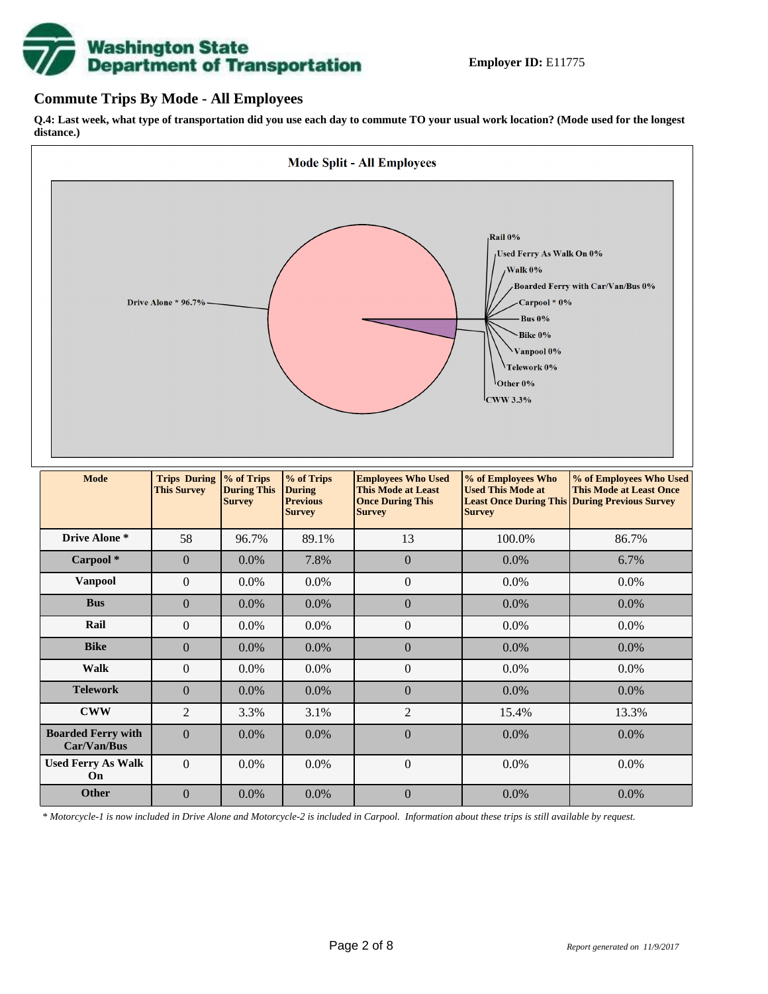# **Washington State<br>Department of Transportation**

#### **Commute Trips By Mode - All Employees**

**Q.4: Last week, what type of transportation did you use each day to commute TO your usual work location? (Mode used for the longest distance.)**



*\* Motorcycle-1 is now included in Drive Alone and Motorcycle-2 is included in Carpool. Information about these trips is still available by request.*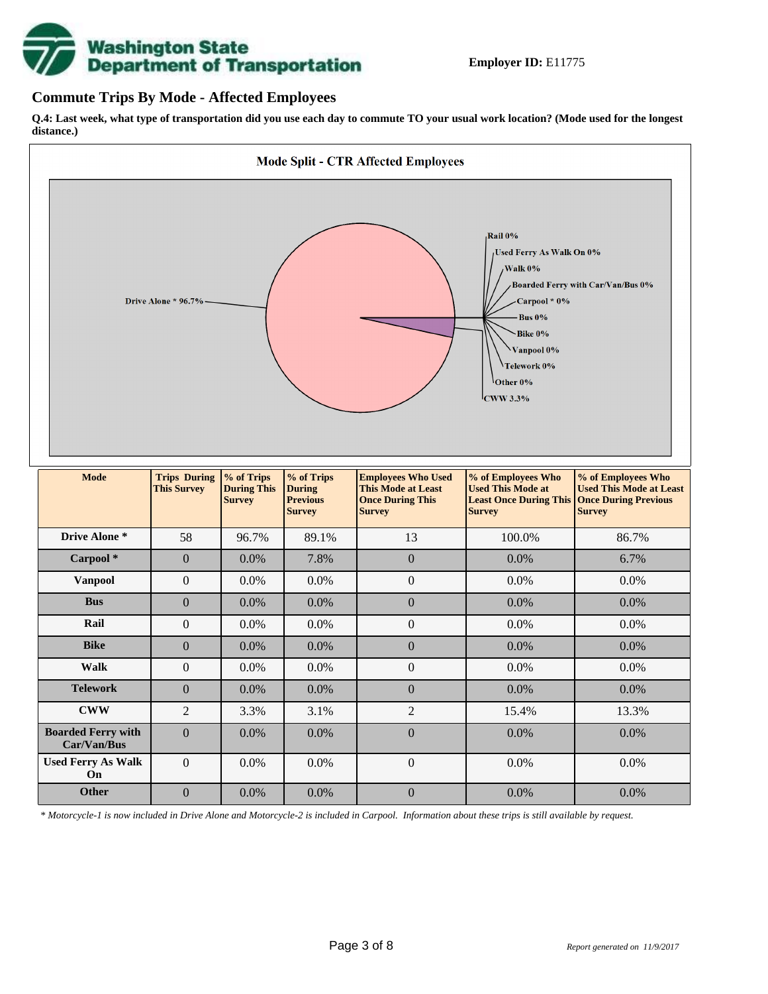

#### **Commute Trips By Mode - Affected Employees**

**Q.4: Last week, what type of transportation did you use each day to commute TO your usual work location? (Mode used for the longest distance.)**



*\* Motorcycle-1 is now included in Drive Alone and Motorcycle-2 is included in Carpool. Information about these trips is still available by request.*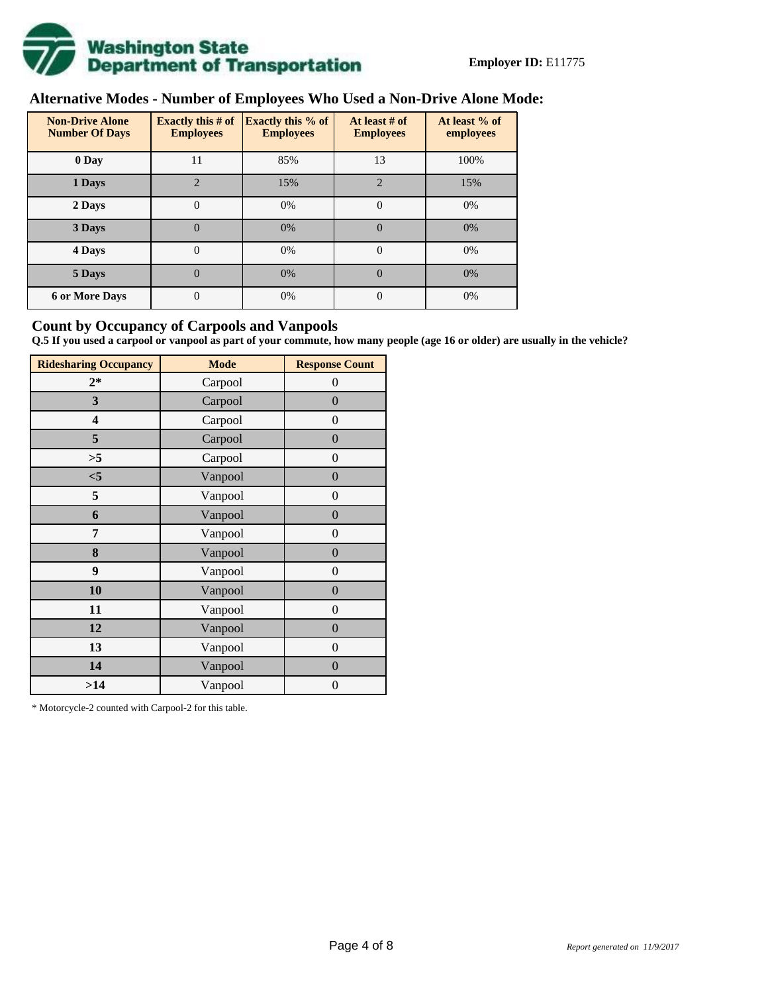

# **Alternative Modes - Number of Employees Who Used a Non-Drive Alone Mode:**

| <b>Non-Drive Alone</b><br><b>Number Of Days</b> | <b>Exactly this # of</b><br><b>Employees</b> | <b>Exactly this % of</b><br><b>Employees</b> | At least # of<br><b>Employees</b> | At least % of<br>employees |  |  |
|-------------------------------------------------|----------------------------------------------|----------------------------------------------|-----------------------------------|----------------------------|--|--|
| 0 Day                                           | 11                                           | 85%                                          | 13                                | 100%                       |  |  |
| 1 Days                                          | $\overline{2}$                               | 15%                                          | $\overline{2}$                    | 15%                        |  |  |
| 2 Days                                          | $\overline{0}$                               | 0%                                           | $\Omega$                          | 0%                         |  |  |
| 3 Days                                          | $\overline{0}$                               | 0%                                           | $\Omega$                          | 0%                         |  |  |
| 4 Days                                          | $\Omega$                                     | 0%                                           | $\Omega$                          | 0%                         |  |  |
| 5 Days                                          | 0                                            | 0%                                           | $\theta$                          | 0%                         |  |  |
| <b>6 or More Days</b>                           | 0                                            | 0%                                           | $\Omega$                          | 0%                         |  |  |

#### **Count by Occupancy of Carpools and Vanpools**

**Q.5 If you used a carpool or vanpool as part of your commute, how many people (age 16 or older) are usually in the vehicle?**

| <b>Ridesharing Occupancy</b> | <b>Mode</b> | <b>Response Count</b> |
|------------------------------|-------------|-----------------------|
| $2*$                         | Carpool     | $\theta$              |
| 3                            | Carpool     | $\boldsymbol{0}$      |
| 4                            | Carpool     | $\boldsymbol{0}$      |
| 5                            | Carpool     | $\boldsymbol{0}$      |
| >5                           | Carpool     | $\overline{0}$        |
| $<$ 5                        | Vanpool     | $\overline{0}$        |
| 5                            | Vanpool     | $\boldsymbol{0}$      |
| 6                            | Vanpool     | $\boldsymbol{0}$      |
| 7                            | Vanpool     | $\boldsymbol{0}$      |
| 8                            | Vanpool     | $\boldsymbol{0}$      |
| 9                            | Vanpool     | $\boldsymbol{0}$      |
| 10                           | Vanpool     | $\overline{0}$        |
| 11                           | Vanpool     | $\overline{0}$        |
| 12                           | Vanpool     | $\boldsymbol{0}$      |
| 13                           | Vanpool     | $\boldsymbol{0}$      |
| 14                           | Vanpool     | $\overline{0}$        |
| >14                          | Vanpool     | $\boldsymbol{0}$      |

\* Motorcycle-2 counted with Carpool-2 for this table.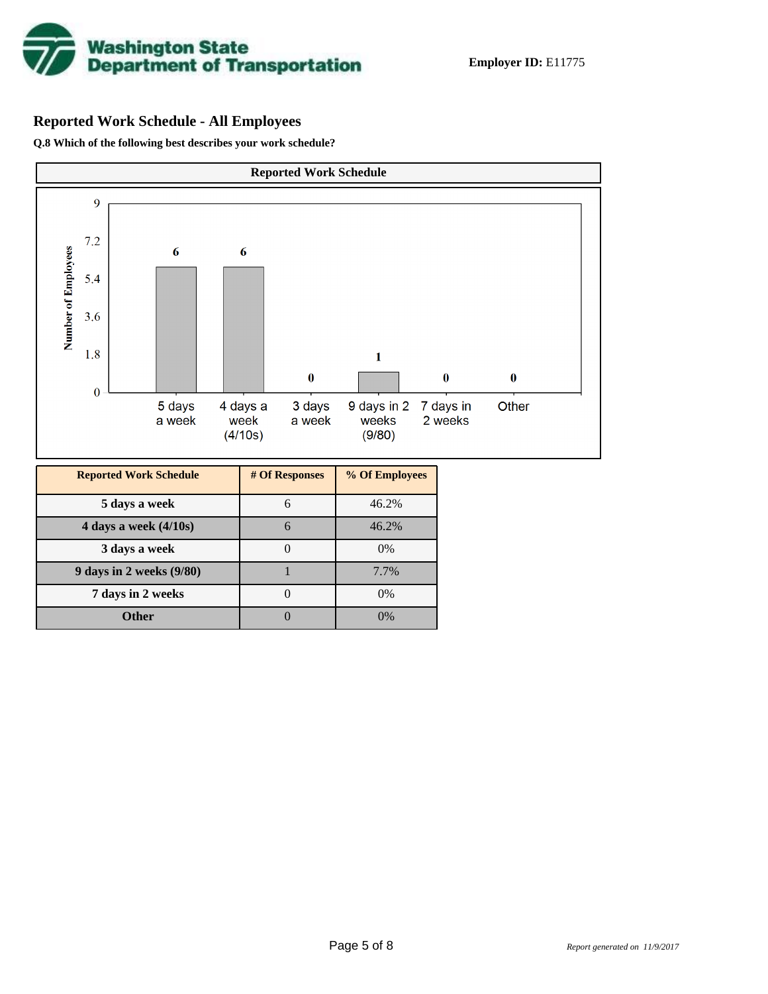

# **Reported Work Schedule - All Employees**

**Q.8 Which of the following best describes your work schedule?**

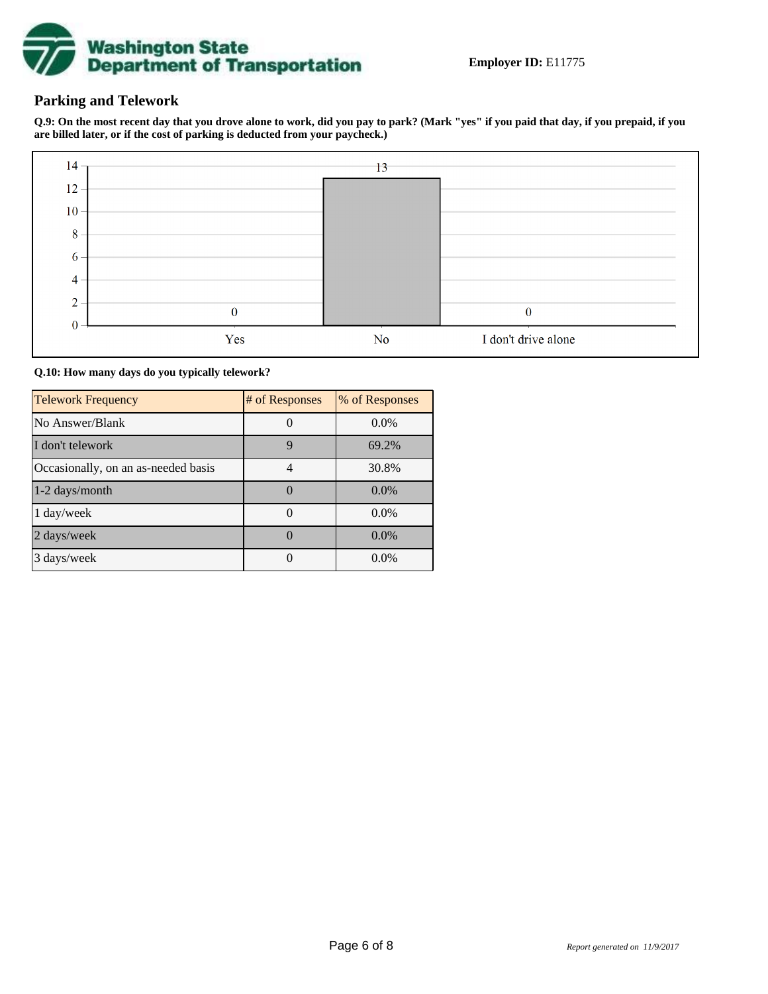

### **Parking and Telework**

**Q.9: On the most recent day that you drove alone to work, did you pay to park? (Mark "yes" if you paid that day, if you prepaid, if you are billed later, or if the cost of parking is deducted from your paycheck.)**



**Q.10: How many days do you typically telework?**

| <b>Telework Frequency</b>           | # of Responses | % of Responses |
|-------------------------------------|----------------|----------------|
| No Answer/Blank                     |                | $0.0\%$        |
| I don't telework                    | 9              | 69.2%          |
| Occasionally, on an as-needed basis |                | 30.8%          |
| 1-2 days/month                      |                | $0.0\%$        |
| 1 day/week                          |                | $0.0\%$        |
| 2 days/week                         |                | $0.0\%$        |
| 3 days/week                         |                | $0.0\%$        |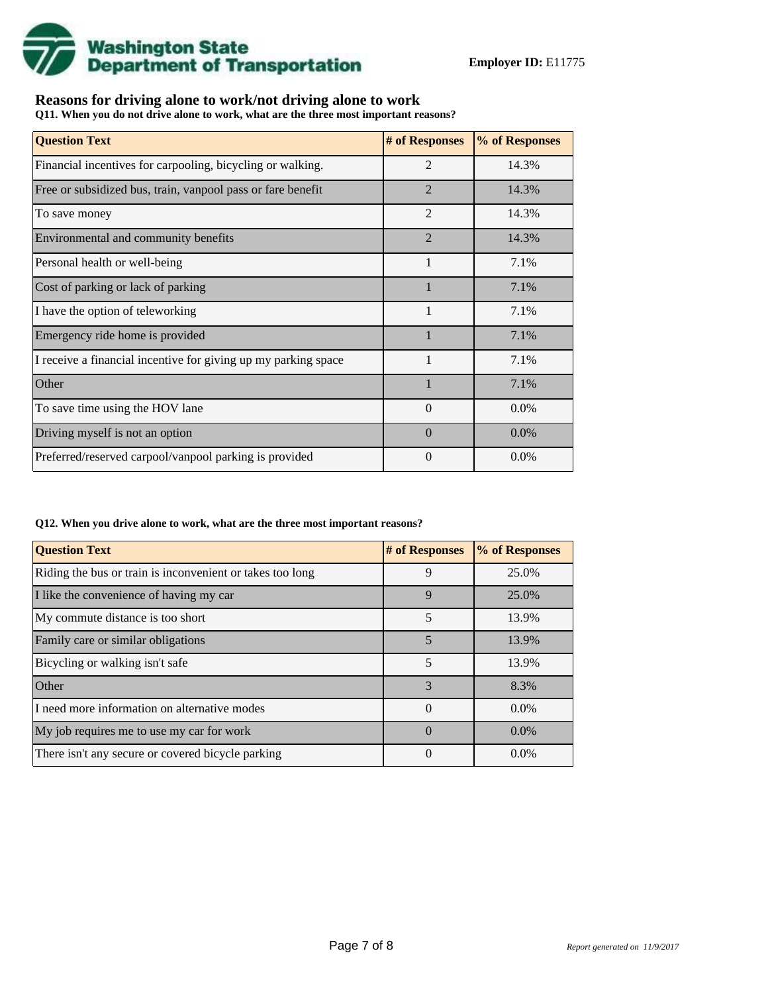

## **Reasons for driving alone to work/not driving alone to work**

**Q11. When you do not drive alone to work, what are the three most important reasons?**

| <b>Question Text</b>                                           | # of Responses | % of Responses |
|----------------------------------------------------------------|----------------|----------------|
| Financial incentives for carpooling, bicycling or walking.     | $\overline{2}$ | 14.3%          |
| Free or subsidized bus, train, vanpool pass or fare benefit    | $\overline{2}$ | 14.3%          |
| To save money                                                  | $\overline{2}$ | 14.3%          |
| Environmental and community benefits                           | $\overline{2}$ | 14.3%          |
| Personal health or well-being                                  | 1              | 7.1%           |
| Cost of parking or lack of parking                             | $\mathbf{1}$   | 7.1%           |
| I have the option of teleworking                               | 1              | 7.1%           |
| Emergency ride home is provided                                |                | 7.1%           |
| I receive a financial incentive for giving up my parking space | 1              | 7.1%           |
| Other                                                          | $\mathbf{1}$   | 7.1%           |
| To save time using the HOV lane                                | $\Omega$       | 0.0%           |
| Driving myself is not an option                                | $\Omega$       | $0.0\%$        |
| Preferred/reserved carpool/vanpool parking is provided         | $\theta$       | 0.0%           |

#### **Q12. When you drive alone to work, what are the three most important reasons?**

| <b>Question Text</b>                                      | # of Responses | % of Responses |  |  |
|-----------------------------------------------------------|----------------|----------------|--|--|
| Riding the bus or train is inconvenient or takes too long | 9              | 25.0%          |  |  |
| I like the convenience of having my car                   | 9              | 25.0%          |  |  |
| My commute distance is too short                          | 5              | 13.9%          |  |  |
| Family care or similar obligations                        | 5              | 13.9%          |  |  |
| Bicycling or walking isn't safe                           | 5              | 13.9%          |  |  |
| <b>Other</b>                                              | 3              | 8.3%           |  |  |
| I need more information on alternative modes              | $\Omega$       | $0.0\%$        |  |  |
| My job requires me to use my car for work                 | $\Omega$       | $0.0\%$        |  |  |
| There isn't any secure or covered bicycle parking         | $\theta$       | $0.0\%$        |  |  |